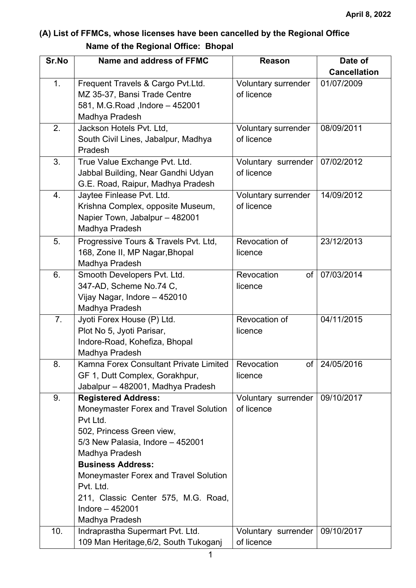## **(A) List of FFMCs, whose licenses have been cancelled by the Regional Office Name of the Regional Office: Bhopal**

| Sr.No | Name and address of FFMC                           | <b>Reason</b>       | Date of             |
|-------|----------------------------------------------------|---------------------|---------------------|
|       |                                                    |                     | <b>Cancellation</b> |
| 1.    | Frequent Travels & Cargo Pvt.Ltd.                  | Voluntary surrender | 01/07/2009          |
|       | MZ 35-37, Bansi Trade Centre                       | of licence          |                     |
|       | 581, M.G.Road, Indore - 452001                     |                     |                     |
|       | Madhya Pradesh                                     |                     |                     |
| 2.    | Jackson Hotels Pvt. Ltd,                           | Voluntary surrender | 08/09/2011          |
|       | South Civil Lines, Jabalpur, Madhya                | of licence          |                     |
|       | Pradesh                                            |                     |                     |
| 3.    | True Value Exchange Pvt. Ltd.                      | Voluntary surrender | 07/02/2012          |
|       | Jabbal Building, Near Gandhi Udyan                 | of licence          |                     |
|       | G.E. Road, Raipur, Madhya Pradesh                  |                     |                     |
| 4.    | Jaytee Finlease Pvt. Ltd.                          | Voluntary surrender | 14/09/2012          |
|       | Krishna Complex, opposite Museum,                  | of licence          |                     |
|       | Napier Town, Jabalpur - 482001                     |                     |                     |
|       | Madhya Pradesh                                     |                     |                     |
| 5.    | Progressive Tours & Travels Pvt. Ltd,              | Revocation of       | 23/12/2013          |
|       | 168, Zone II, MP Nagar, Bhopal                     | licence             |                     |
|       | Madhya Pradesh                                     |                     |                     |
| 6.    | Smooth Developers Pvt. Ltd.                        | Revocation<br>of    | 07/03/2014          |
|       | 347-AD, Scheme No.74 C,                            | licence             |                     |
|       | Vijay Nagar, Indore - 452010                       |                     |                     |
|       | Madhya Pradesh                                     |                     |                     |
| 7.    | Jyoti Forex House (P) Ltd.                         | Revocation of       | 04/11/2015          |
|       | Plot No 5, Jyoti Parisar,                          | licence             |                     |
|       | Indore-Road, Kohefiza, Bhopal                      |                     |                     |
|       | Madhya Pradesh                                     |                     |                     |
| 8.    | Kamna Forex Consultant Private Limited             | Revocation          | of   24/05/2016     |
|       | GF 1, Dutt Complex, Gorakhpur,                     | licence             |                     |
|       | Jabalpur - 482001, Madhya Pradesh                  |                     |                     |
| 9.    | <b>Registered Address:</b>                         | Voluntary surrender | 09/10/2017          |
|       | Moneymaster Forex and Travel Solution              | of licence          |                     |
|       | Pvt Ltd.                                           |                     |                     |
|       | 502, Princess Green view,                          |                     |                     |
|       | 5/3 New Palasia, Indore - 452001<br>Madhya Pradesh |                     |                     |
|       | <b>Business Address:</b>                           |                     |                     |
|       | Moneymaster Forex and Travel Solution              |                     |                     |
|       | Pvt. Ltd.                                          |                     |                     |
|       | 211, Classic Center 575, M.G. Road,                |                     |                     |
|       | Indore $-452001$                                   |                     |                     |
|       | Madhya Pradesh                                     |                     |                     |
| 10.   | Indraprastha Supermart Pvt. Ltd.                   | Voluntary surrender | 09/10/2017          |
|       | 109 Man Heritage, 6/2, South Tukoganj              | of licence          |                     |
|       |                                                    |                     |                     |